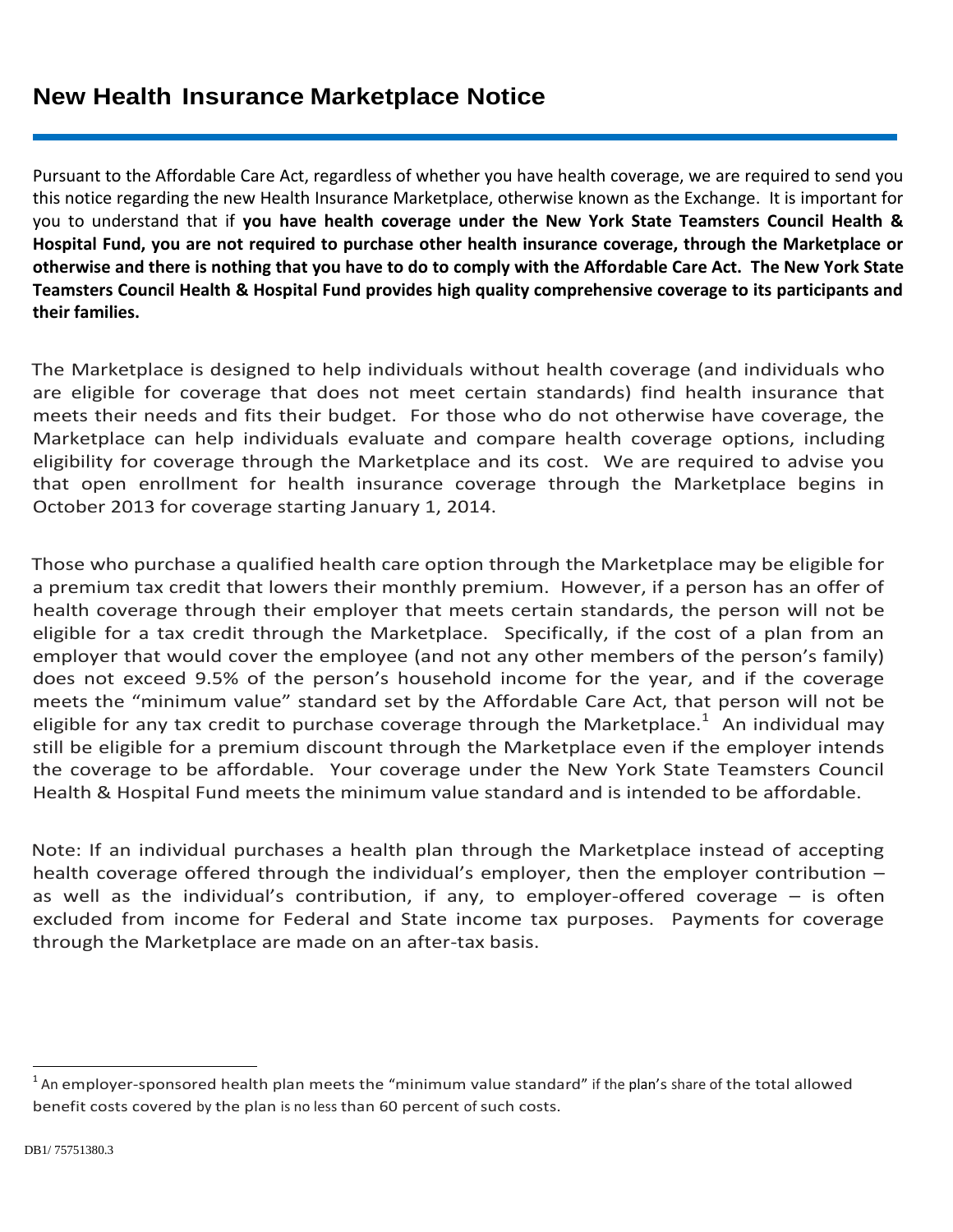Pursuant to the Affordable Care Act, regardless of whether you have health coverage, we are required to send you this notice regarding the new Health Insurance Marketplace, otherwise known as the Exchange. It is important for you to understand that if **you have health coverage under the New York State Teamsters Council Health & Hospital Fund, you are not required to purchase other health insurance coverage, through the Marketplace or otherwise and there is nothing that you have to do to comply with the Affordable Care Act. The New York State Teamsters Council Health & Hospital Fund provides high quality comprehensive coverage to its participants and their families.** 

The Marketplace is designed to help individuals without health coverage (and individuals who are eligible for coverage that does not meet certain standards) find health insurance that meets their needs and fits their budget. For those who do not otherwise have coverage, the Marketplace can help individuals evaluate and compare health coverage options, including eligibility for coverage through the Marketplace and its cost. We are required to advise you that open enrollment for health insurance coverage through the Marketplace begins in October 2013 for coverage starting January 1, 2014.

Those who purchase a qualified health care option through the Marketplace may be eligible for a premium tax credit that lowers their monthly premium. However, if a person has an offer of health coverage through their employer that meets certain standards, the person will not be eligible for a tax credit through the Marketplace. Specifically, if the cost of a plan from an employer that would cover the employee (and not any other members of the person's family) does not exceed 9.5% of the person's household income for the year, and if the coverage meets the "minimum value" standard set by the Affordable Care Act, that person will not be eligible for any tax credit to purchase coverage through the Marketplace.<sup>1</sup> An individual may still be eligible for a premium discount through the Marketplace even if the employer intends the coverage to be affordable. Your coverage under the New York State Teamsters Council Health & Hospital Fund meets the minimum value standard and is intended to be affordable.

Note: If an individual purchases a health plan through the Marketplace instead of accepting health coverage offered through the individual's employer, then the employer contribution – as well as the individual's contribution, if any, to employer-offered coverage – is often excluded from income for Federal and State income tax purposes. Payments for coverage through the Marketplace are made on an after-tax basis.

 $\overline{\phantom{a}}$ 

 $^1$  An employer-sponsored health plan meets the "minimum value standard" if the plan's share of the total allowed benefit costs covered by the plan is no less than 60 percent of such costs.